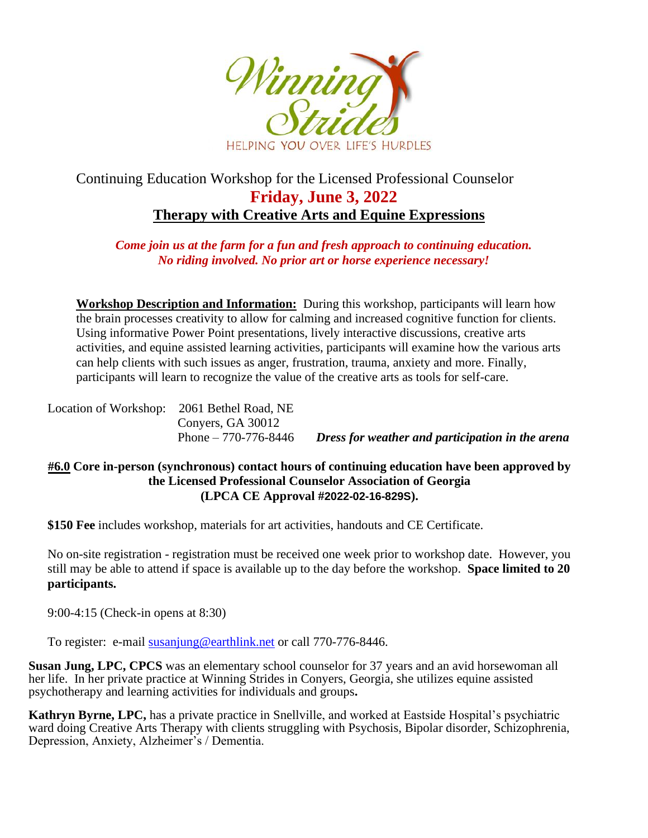

## Continuing Education Workshop for the Licensed Professional Counselor **Friday, June 3, 2022 Therapy with Creative Arts and Equine Expressions**

*Come join us at the farm for a fun and fresh approach to continuing education. No riding involved. No prior art or horse experience necessary!*

**Workshop Description and Information:** During this workshop, participants will learn how the brain processes creativity to allow for calming and increased cognitive function for clients. Using informative Power Point presentations, lively interactive discussions, creative arts activities, and equine assisted learning activities, participants will examine how the various arts can help clients with such issues as anger, frustration, trauma, anxiety and more. Finally, participants will learn to recognize the value of the creative arts as tools for self-care.

| Location of Workshop: 2061 Bethel Road, NE |                       |                                                  |
|--------------------------------------------|-----------------------|--------------------------------------------------|
|                                            | Convers, GA 30012     |                                                  |
|                                            | Phone $-770-776-8446$ | Dress for weather and participation in the arena |

## **#6.0 Core in-person (synchronous) contact hours of continuing education have been approved by the Licensed Professional Counselor Association of Georgia (LPCA CE Approval #2022-02-16-829S).**

**\$150 Fee** includes workshop, materials for art activities, handouts and CE Certificate.

No on-site registration - registration must be received one week prior to workshop date. However, you still may be able to attend if space is available up to the day before the workshop. **Space limited to 20 participants.**

9:00-4:15 (Check-in opens at 8:30)

To register: e-mail [susanjung@earthlink.net](mailto:susanjung@earthlink.net) or call 770-776-8446.

**Susan Jung, LPC, CPCS** was an elementary school counselor for 37 years and an avid horsewoman all her life. In her private practice at Winning Strides in Conyers, Georgia, she utilizes equine assisted psychotherapy and learning activities for individuals and groups**.**

**Kathryn Byrne, LPC,** has a private practice in Snellville, and worked at Eastside Hospital's psychiatric ward doing Creative Arts Therapy with clients struggling with Psychosis, Bipolar disorder, Schizophrenia, Depression, Anxiety, Alzheimer's / Dementia.